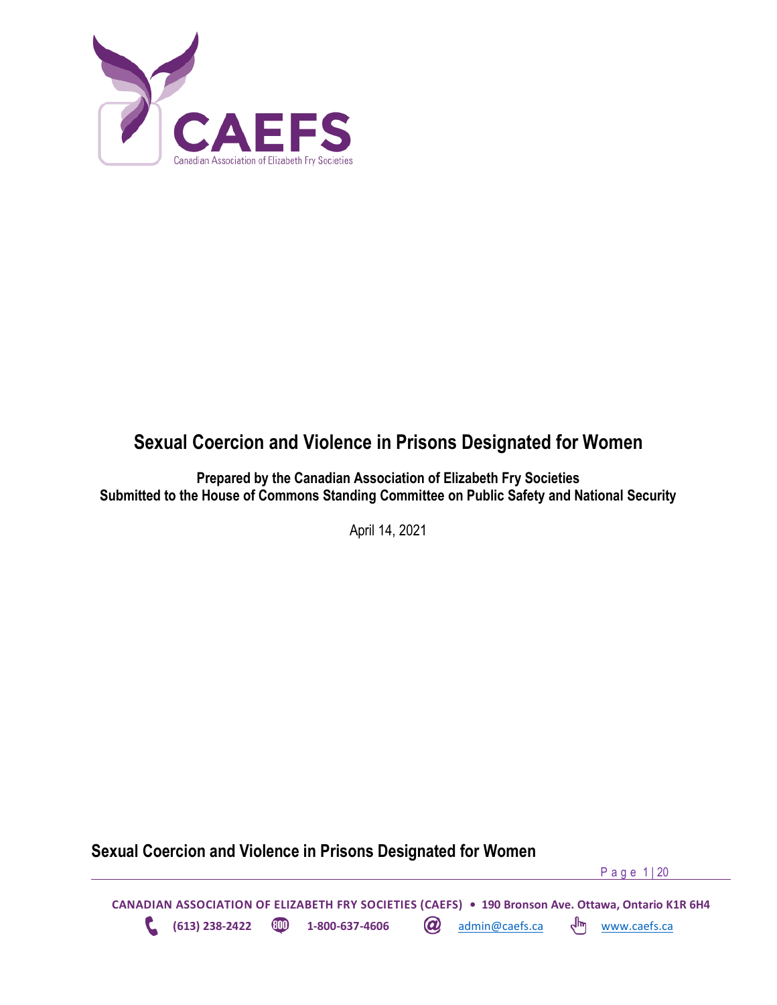

# **Sexual Coercion and Violence in Prisons Designated for Women**

**Prepared by the Canadian Association of Elizabeth Fry Societies Submitted to the House of Commons Standing Committee on Public Safety and National Security**

April 14, 2021

**Sexual Coercion and Violence in Prisons Designated for Women**

P a g e 1 | 20

**CANADIAN ASSOCIATION OF ELIZABETH FRY SOCIETIES (CAEFS) • 190 Bronson Ave. Ottawa, Ontario K1R 6H4 (613) 238-2422 <b>1-800-637-4606 a** admin@caefs.ca  $\binom{m}{k}$  [www.caefs.ca](http://www.caefs.ca/)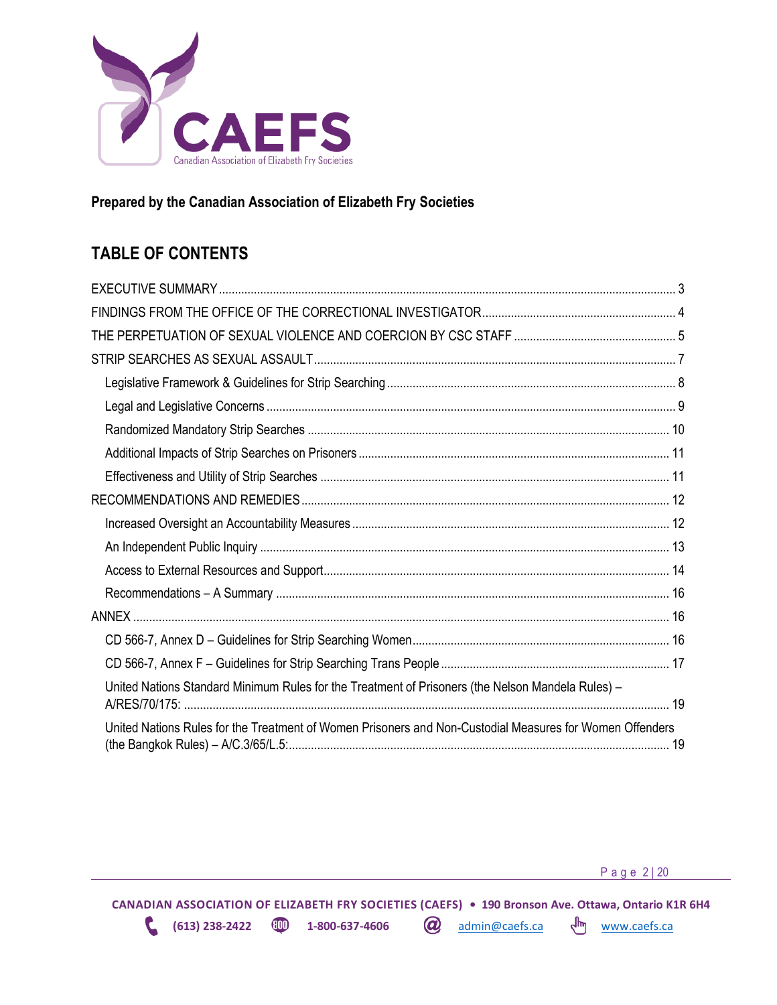

### **Prepared by the Canadian Association of Elizabeth Fry Societies**

# **TABLE OF CONTENTS**

| United Nations Standard Minimum Rules for the Treatment of Prisoners (the Nelson Mandela Rules) -        |  |
|----------------------------------------------------------------------------------------------------------|--|
| United Nations Rules for the Treatment of Women Prisoners and Non-Custodial Measures for Women Offenders |  |

P a g e 2 | 20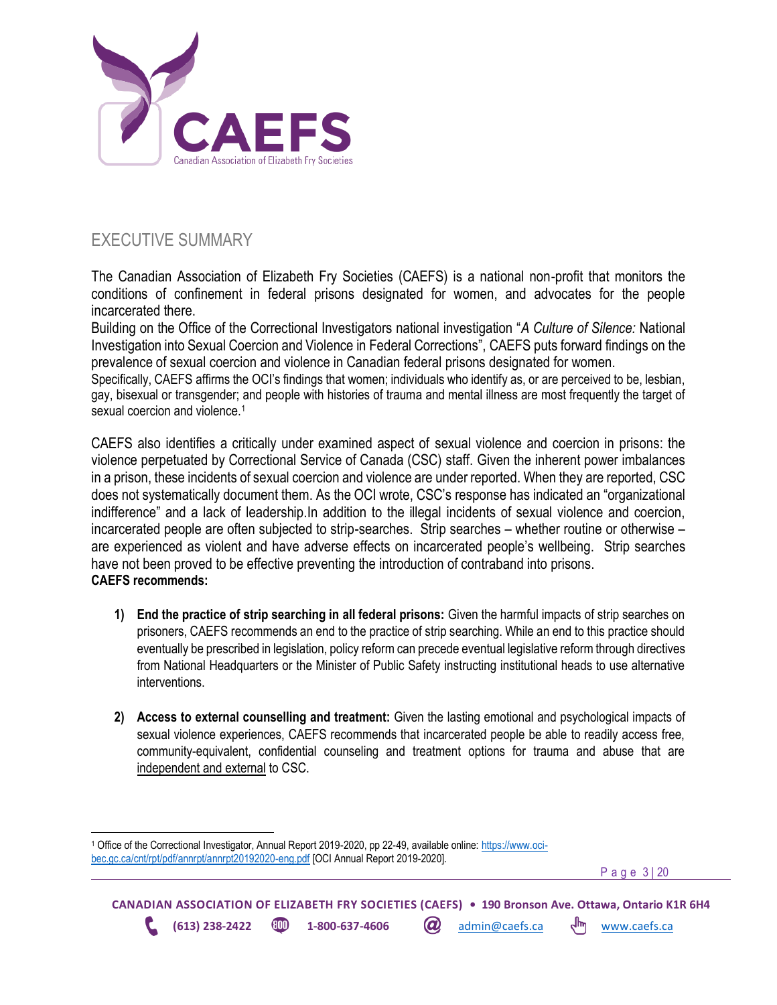

# <span id="page-2-0"></span>EXECUTIVE SUMMARY

The Canadian Association of Elizabeth Fry Societies (CAEFS) is a national non-profit that monitors the conditions of confinement in federal prisons designated for women, and advocates for the people incarcerated there.

Building on the Office of the Correctional Investigators national investigation "*A Culture of Silence:* National Investigation into Sexual Coercion and Violence in Federal Corrections", CAEFS puts forward findings on the prevalence of sexual coercion and violence in Canadian federal prisons designated for women.

Specifically, CAEFS affirms the OCI's findings that women; individuals who identify as, or are perceived to be, lesbian, gay, bisexual or transgender; and people with histories of trauma and mental illness are most frequently the target of sexual coercion and violence.<sup>1</sup>

CAEFS also identifies a critically under examined aspect of sexual violence and coercion in prisons: the violence perpetuated by Correctional Service of Canada (CSC) staff. Given the inherent power imbalances in a prison, these incidents of sexual coercion and violence are under reported. When they are reported, CSC does not systematically document them. As the OCI wrote, CSC's response has indicated an "organizational indifference" and a lack of leadership.In addition to the illegal incidents of sexual violence and coercion, incarcerated people are often subjected to strip-searches. Strip searches – whether routine or otherwise – are experienced as violent and have adverse effects on incarcerated people's wellbeing. Strip searches have not been proved to be effective preventing the introduction of contraband into prisons. **CAEFS recommends:** 

- **1) End the practice of strip searching in all federal prisons:** Given the harmful impacts of strip searches on prisoners, CAEFS recommends an end to the practice of strip searching. While an end to this practice should eventually be prescribed in legislation, policy reform can precede eventual legislative reform through directives from National Headquarters or the Minister of Public Safety instructing institutional heads to use alternative interventions.
- **2) Access to external counselling and treatment:** Given the lasting emotional and psychological impacts of sexual violence experiences, CAEFS recommends that incarcerated people be able to readily access free, community-equivalent, confidential counseling and treatment options for trauma and abuse that are independent and external to CSC.

<sup>1</sup> Office of the Correctional Investigator, Annual Report 2019-2020, pp 22-49, available online[: https://www.oci](https://www.oci-bec.gc.ca/cnt/rpt/pdf/annrpt/annrpt20192020-eng.pdf)[bec.gc.ca/cnt/rpt/pdf/annrpt/annrpt20192020-eng.pdf](https://www.oci-bec.gc.ca/cnt/rpt/pdf/annrpt/annrpt20192020-eng.pdf) [OCI Annual Report 2019-2020].

P a g e 3 | 20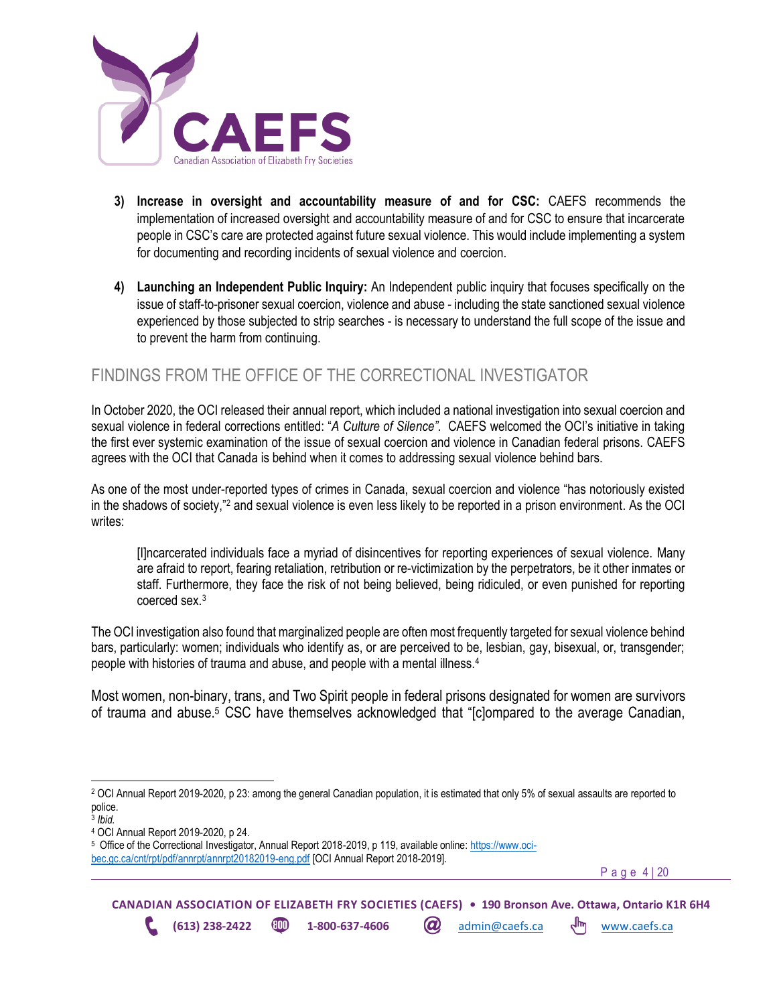

- **3) Increase in oversight and accountability measure of and for CSC:** CAEFS recommends the implementation of increased oversight and accountability measure of and for CSC to ensure that incarcerate people in CSC's care are protected against future sexual violence. This would include implementing a system for documenting and recording incidents of sexual violence and coercion.
- **4) Launching an Independent Public Inquiry:** An Independent public inquiry that focuses specifically on the issue of staff-to-prisoner sexual coercion, violence and abuse - including the state sanctioned sexual violence experienced by those subjected to strip searches - is necessary to understand the full scope of the issue and to prevent the harm from continuing.

## <span id="page-3-0"></span>FINDINGS FROM THE OFFICE OF THE CORRECTIONAL INVESTIGATOR

In October 2020, the OCI released their annual report, which included a national investigation into sexual coercion and sexual violence in federal corrections entitled: "*A Culture of Silence".* CAEFS welcomed the OCI's initiative in taking the first ever systemic examination of the issue of sexual coercion and violence in Canadian federal prisons. CAEFS agrees with the OCI that Canada is behind when it comes to addressing sexual violence behind bars.

As one of the most under-reported types of crimes in Canada, sexual coercion and violence "has notoriously existed in the shadows of society," <sup>2</sup> and sexual violence is even less likely to be reported in a prison environment. As the OCI writes:

[I]ncarcerated individuals face a myriad of disincentives for reporting experiences of sexual violence. Many are afraid to report, fearing retaliation, retribution or re-victimization by the perpetrators, be it other inmates or staff. Furthermore, they face the risk of not being believed, being ridiculed, or even punished for reporting coerced sex.<sup>3</sup>

The OCI investigation also found that marginalized people are often most frequently targeted for sexual violence behind bars, particularly: women; individuals who identify as, or are perceived to be, lesbian, gay, bisexual, or, transgender; people with histories of trauma and abuse, and people with a mental illness. 4

Most women, non-binary, trans, and Two Spirit people in federal prisons designated for women are survivors of trauma and abuse.<sup>5</sup> CSC have themselves acknowledged that "[c]ompared to the average Canadian,

P a g e 4 | 20

<sup>2</sup> OCI Annual Report 2019-2020, p 23: among the general Canadian population, it is estimated that only 5% of sexual assaults are reported to police.

<sup>3</sup> *Ibid.* 

<sup>4</sup> OCI Annual Report 2019-2020, p 24.

<sup>5</sup> Office of the Correctional Investigator, Annual Report 2018-2019, p 119, available online: [https://www.oci](https://www.oci-bec.gc.ca/cnt/rpt/pdf/annrpt/annrpt20182019-eng.pdf)[bec.gc.ca/cnt/rpt/pdf/annrpt/annrpt20182019-eng.pdf](https://www.oci-bec.gc.ca/cnt/rpt/pdf/annrpt/annrpt20182019-eng.pdf) [OCI Annual Report 2018-2019].

**CANADIAN ASSOCIATION OF ELIZABETH FRY SOCIETIES (CAEFS) • 190 Bronson Ave. Ottawa, Ontario K1R 6H4 (613) 238-2422 <b>CD** 1-800-637-4606 **(a)** admin@caefs.ca <a>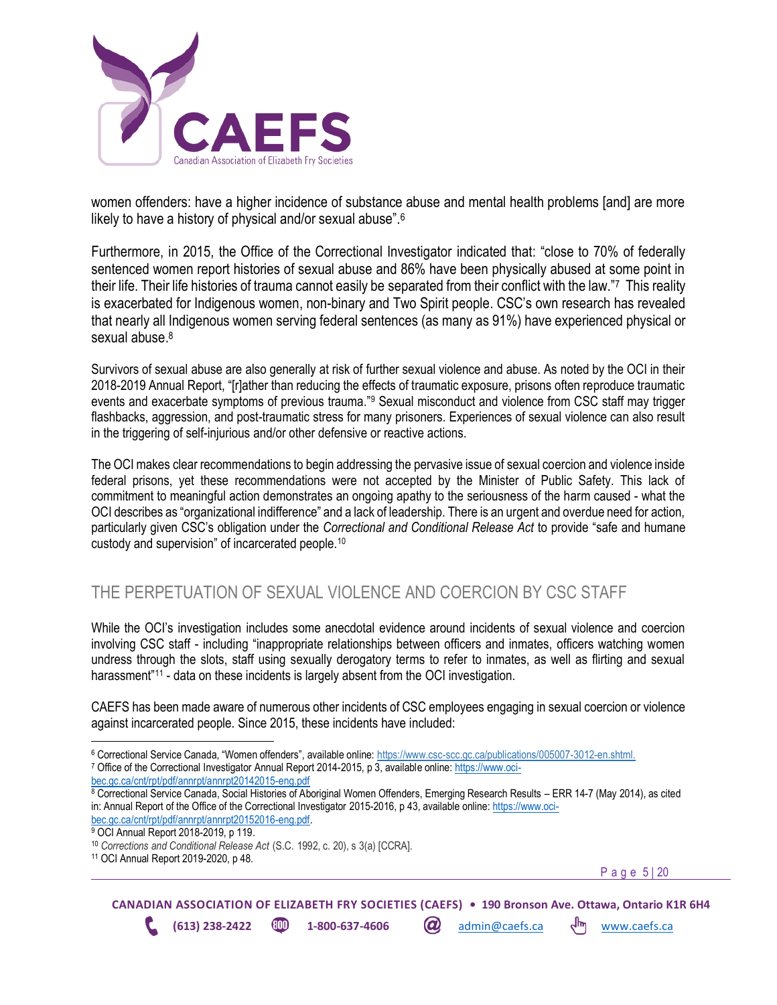

women offenders: have a higher incidence of substance abuse and mental health problems [and] are more likely to have a history of physical and/or sexual abuse".<sup>6</sup>

Furthermore, in 2015, the Office of the Correctional Investigator indicated that: "close to 70% of federally sentenced women report histories of sexual abuse and 86% have been physically abused at some point in their life. Their life histories of trauma cannot easily be separated from their conflict with the law."7 This reality is exacerbated for Indigenous women, non-binary and Two Spirit people. CSC's own research has revealed that nearly all Indigenous women serving federal sentences (as many as 91%) have experienced physical or sexual abuse.<sup>8</sup>

Survivors of sexual abuse are also generally at risk of further sexual violence and abuse. As noted by the OCI in their 2018-2019 Annual Report, "[r]ather than reducing the effects of traumatic exposure, prisons often reproduce traumatic events and exacerbate symptoms of previous trauma."<sup>9</sup> Sexual misconduct and violence from CSC staff may trigger flashbacks, aggression, and post-traumatic stress for many prisoners. Experiences of sexual violence can also result in the triggering of self-injurious and/or other defensive or reactive actions.

The OCI makes clear recommendations to begin addressing the pervasive issue of sexual coercion and violence inside federal prisons, yet these recommendations were not accepted by the Minister of Public Safety. This lack of commitment to meaningful action demonstrates an ongoing apathy to the seriousness of the harm caused - what the OCI describes as "organizational indifference" and a lack of leadership. There is an urgent and overdue need for action, particularly given CSC's obligation under the *Correctional and Conditional Release Act* to provide "safe and humane custody and supervision" of incarcerated people.<sup>10</sup>

## <span id="page-4-0"></span>THE PERPETUATION OF SEXUAL VIOLENCE AND COERCION BY CSC STAFF

While the OCI's investigation includes some anecdotal evidence around incidents of sexual violence and coercion involving CSC staff - including "inappropriate relationships between officers and inmates, officers watching women undress through the slots, staff using sexually derogatory terms to refer to inmates, as well as flirting and sexual harassment<sup>"11</sup> - data on these incidents is largely absent from the OCI investigation.

CAEFS has been made aware of numerous other incidents of CSC employees engaging in sexual coercion or violence against incarcerated people. Since 2015, these incidents have included:

P a g e 5 | 20

<sup>6</sup> Correctional Service Canada, "Women offenders", available online: [https://www.csc-scc.gc.ca/publications/005007-3012-en.shtml.](https://www.csc-scc.gc.ca/publications/005007-3012-en.shtml)

<sup>7</sup> Office of the Correctional Investigator Annual Report 2014-2015, p 3, available online[: https://www.oci](https://www.oci-bec.gc.ca/cnt/rpt/pdf/annrpt/annrpt20142015-eng.pdf)[bec.gc.ca/cnt/rpt/pdf/annrpt/annrpt20142015-eng.pdf](https://www.oci-bec.gc.ca/cnt/rpt/pdf/annrpt/annrpt20142015-eng.pdf)

<sup>8</sup> Correctional Service Canada, Social Histories of Aboriginal Women Offenders, Emerging Research Results – ERR 14-7 (May 2014), as cited in: Annual Report of the Office of the Correctional Investigator 2015-2016, p 43, available online[: https://www.oci](https://www.oci-bec.gc.ca/cnt/rpt/pdf/annrpt/annrpt20152016-eng.pdf)[bec.gc.ca/cnt/rpt/pdf/annrpt/annrpt20152016-eng.pdf.](https://www.oci-bec.gc.ca/cnt/rpt/pdf/annrpt/annrpt20152016-eng.pdf) 

<sup>&</sup>lt;sup>9</sup> OCI Annual Report 2018-2019, p 119.

<sup>10</sup> *Corrections and Conditional Release Act* (S.C. 1992, c. 20), s 3(a) [CCRA].

<sup>11</sup> OCI Annual Report 2019-2020, p 48.

**CANADIAN ASSOCIATION OF ELIZABETH FRY SOCIETIES (CAEFS) • 190 Bronson Ave. Ottawa, Ontario K1R 6H4 (613) 238-2422 1-800-637-4606** *a***)** admin@caefs.ca  $\frac{1}{m}$  [www.caefs.ca](http://www.caefs.ca/)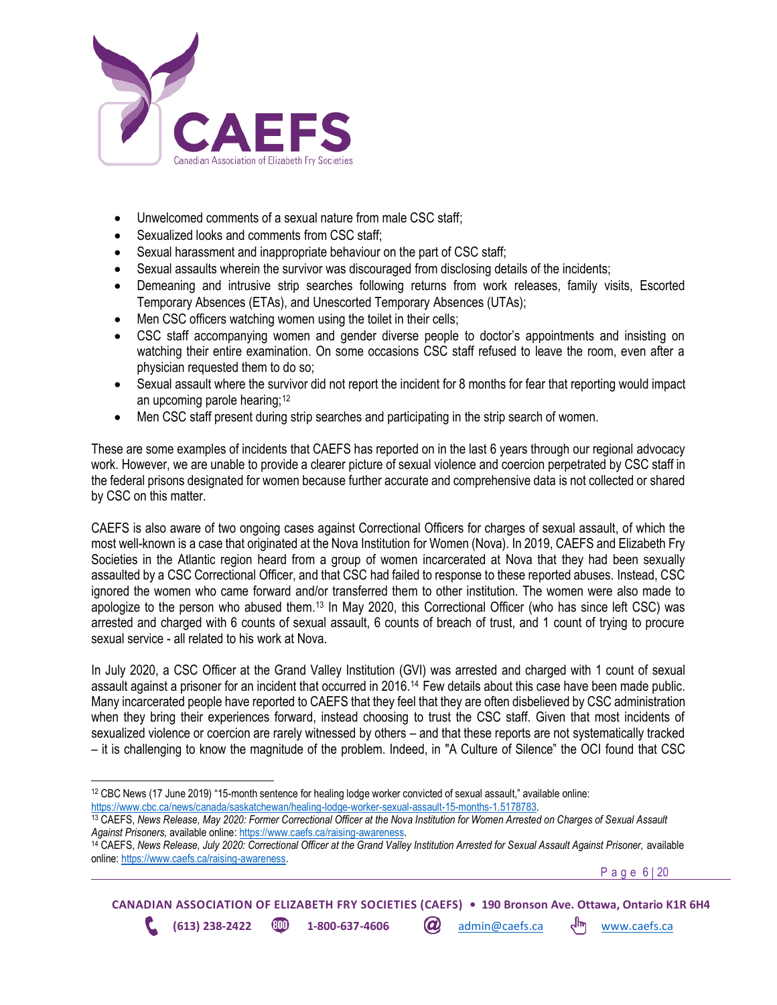

- Unwelcomed comments of a sexual nature from male CSC staff;
- Sexualized looks and comments from CSC staff:
- Sexual harassment and inappropriate behaviour on the part of CSC staff;
- Sexual assaults wherein the survivor was discouraged from disclosing details of the incidents;
- Demeaning and intrusive strip searches following returns from work releases, family visits, Escorted Temporary Absences (ETAs), and Unescorted Temporary Absences (UTAs);
- Men CSC officers watching women using the toilet in their cells;
- CSC staff accompanying women and gender diverse people to doctor's appointments and insisting on watching their entire examination. On some occasions CSC staff refused to leave the room, even after a physician requested them to do so;
- Sexual assault where the survivor did not report the incident for 8 months for fear that reporting would impact an upcoming parole hearing;<sup>12</sup>
- Men CSC staff present during strip searches and participating in the strip search of women.

These are some examples of incidents that CAEFS has reported on in the last 6 years through our regional advocacy work. However, we are unable to provide a clearer picture of sexual violence and coercion perpetrated by CSC staff in the federal prisons designated for women because further accurate and comprehensive data is not collected or shared by CSC on this matter.

CAEFS is also aware of two ongoing cases against Correctional Officers for charges of sexual assault, of which the most well-known is a case that originated at the Nova Institution for Women (Nova). In 2019, CAEFS and Elizabeth Fry Societies in the Atlantic region heard from a group of women incarcerated at Nova that they had been sexually assaulted by a CSC Correctional Officer, and that CSC had failed to response to these reported abuses. Instead, CSC ignored the women who came forward and/or transferred them to other institution. The women were also made to apologize to the person who abused them.<sup>13</sup> In May 2020, this Correctional Officer (who has since left CSC) was arrested and charged with 6 counts of sexual assault, 6 counts of breach of trust, and 1 count of trying to procure sexual service - all related to his work at Nova.

In July 2020, a CSC Officer at the Grand Valley Institution (GVI) was arrested and charged with 1 count of sexual assault against a prisoner for an incident that occurred in 2016.14 Few details about this case have been made public. Many incarcerated people have reported to CAEFS that they feel that they are often disbelieved by CSC administration when they bring their experiences forward, instead choosing to trust the CSC staff. Given that most incidents of sexualized violence or coercion are rarely witnessed by others – and that these reports are not systematically tracked – it is challenging to know the magnitude of the problem. Indeed, in "A Culture of Silence" the OCI found that CSC

P a g e 6 | 20

**CANADIAN ASSOCIATION OF ELIZABETH FRY SOCIETIES (CAEFS) • 190 Bronson Ave. Ottawa, Ontario K1R 6H4 (613) 238-2422 1-800-637-4606** admin@caefs.ca [www.caefs.ca](http://www.caefs.ca/)

<sup>12</sup> CBC News (17 June 2019) "15-month sentence for healing lodge worker convicted of sexual assault," available online: [https://www.cbc.ca/news/canada/saskatchewan/healing-lodge-worker-sexual-assault-15-months-1.5178783.](https://www.cbc.ca/news/canada/saskatchewan/healing-lodge-worker-sexual-assault-15-months-1.5178783)

<sup>13</sup> CAEFS, *News Release, May 2020: Former Correctional Officer at the Nova Institution for Women Arrested on Charges of Sexual Assault Against Prisoners,* available online: [https://www.caefs.ca/raising-awareness.](https://www.caefs.ca/raising-awareness) 

<sup>&</sup>lt;sup>14</sup> CAEFS, News Release, July 2020: Correctional Officer at the Grand Valley Institution Arrested for Sexual Assault Against Prisoner, available online: [https://www.caefs.ca/raising-awareness.](https://www.caefs.ca/raising-awareness)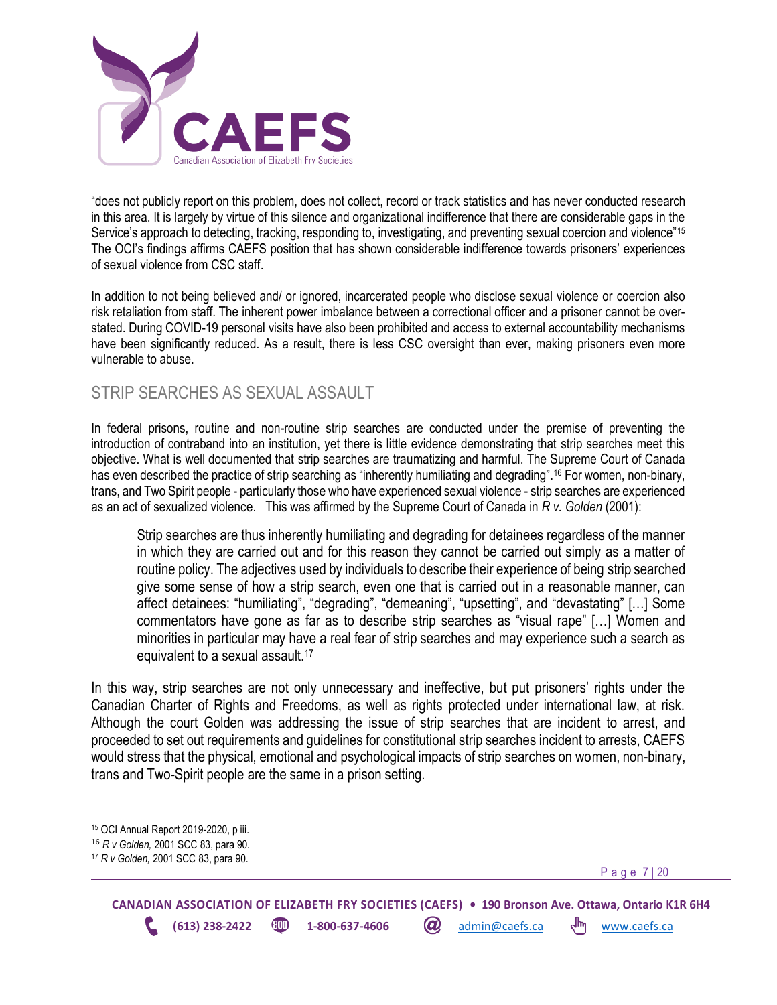

"does not publicly report on this problem, does not collect, record or track statistics and has never conducted research in this area. It is largely by virtue of this silence and organizational indifference that there are considerable gaps in the Service's approach to detecting, tracking, responding to, investigating, and preventing sexual coercion and violence"<sup>15</sup> The OCI's findings affirms CAEFS position that has shown considerable indifference towards prisoners' experiences of sexual violence from CSC staff.

In addition to not being believed and/ or ignored, incarcerated people who disclose sexual violence or coercion also risk retaliation from staff. The inherent power imbalance between a correctional officer and a prisoner cannot be overstated. During COVID-19 personal visits have also been prohibited and access to external accountability mechanisms have been significantly reduced. As a result, there is less CSC oversight than ever, making prisoners even more vulnerable to abuse.

### <span id="page-6-0"></span>STRIP SEARCHES AS SEXUAL ASSAULT

In federal prisons, routine and non-routine strip searches are conducted under the premise of preventing the introduction of contraband into an institution, yet there is little evidence demonstrating that strip searches meet this objective. What is well documented that strip searches are traumatizing and harmful. The Supreme Court of Canada has even described the practice of strip searching as "inherently humiliating and degrading".<sup>16</sup> For women, non-binary, trans, and Two Spirit people - particularly those who have experienced sexual violence - strip searches are experienced as an act of sexualized violence. This was affirmed by the Supreme Court of Canada in *R v. Golden* (2001):

Strip searches are thus inherently humiliating and degrading for detainees regardless of the manner in which they are carried out and for this reason they cannot be carried out simply as a matter of routine policy. The adjectives used by individuals to describe their experience of being strip searched give some sense of how a strip search, even one that is carried out in a reasonable manner, can affect detainees: "humiliating", "degrading", "demeaning", "upsetting", and "devastating" […] Some commentators have gone as far as to describe strip searches as "visual rape" […] Women and minorities in particular may have a real fear of strip searches and may experience such a search as equivalent to a sexual assault.<sup>17</sup>

In this way, strip searches are not only unnecessary and ineffective, but put prisoners' rights under the Canadian Charter of Rights and Freedoms, as well as rights protected under international law, at risk. Although the court Golden was addressing the issue of strip searches that are incident to arrest, and proceeded to set out requirements and guidelines for constitutional strip searches incident to arrests, CAEFS would stress that the physical, emotional and psychological impacts of strip searches on women, non-binary, trans and Two-Spirit people are the same in a prison setting.

P a g e 7 | 20

<sup>15</sup> OCI Annual Report 2019-2020, p iii.

<sup>16</sup> *R v Golden,* 2001 SCC 83, para 90.

<sup>17</sup> *R v Golden,* 2001 SCC 83, para 90.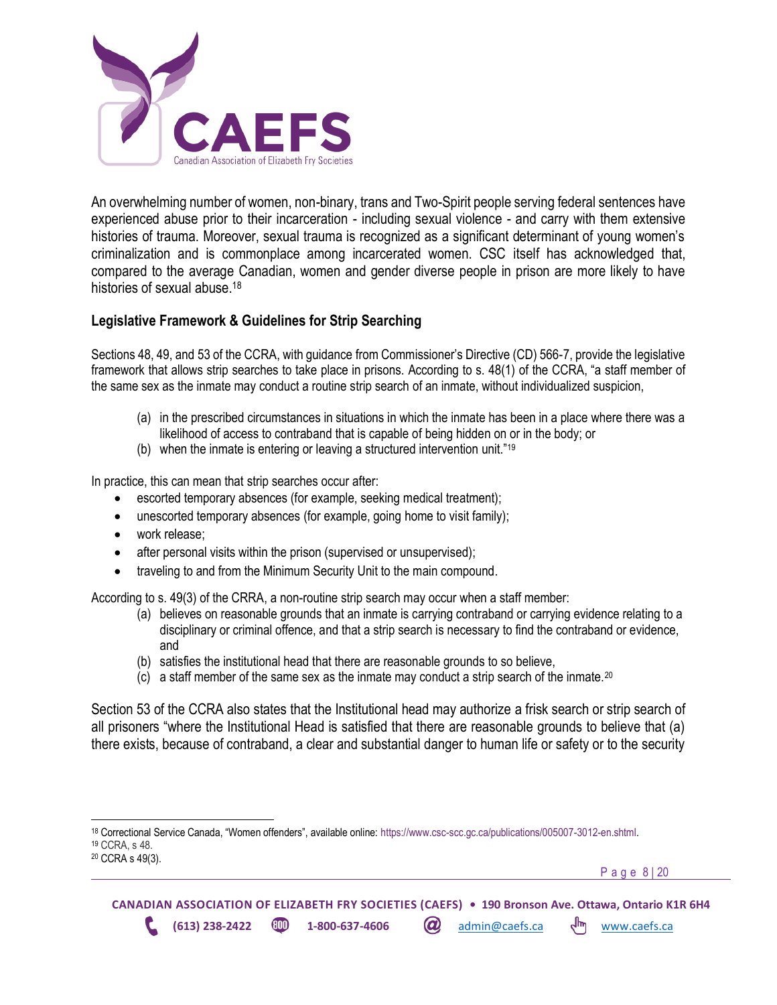

An overwhelming number of women, non-binary, trans and Two-Spirit people serving federal sentences have experienced abuse prior to their incarceration - including sexual violence - and carry with them extensive histories of trauma. Moreover, sexual trauma is recognized as a significant determinant of young women's criminalization and is commonplace among incarcerated women. CSC itself has acknowledged that, compared to the average Canadian, women and gender diverse people in prison are more likely to have histories of sexual abuse.<sup>18</sup>

### <span id="page-7-0"></span>**Legislative Framework & Guidelines for Strip Searching**

Sections 48, 49, and 53 of the CCRA, with guidance from Commissioner's Directive (CD) 566-7, provide the legislative framework that allows strip searches to take place in prisons. According to s. 48(1) of the CCRA, "a staff member of the same sex as the inmate may conduct a routine strip search of an inmate, without individualized suspicion,

- (a) in the prescribed circumstances in situations in which the inmate has been in a place where there was a likelihood of access to contraband that is capable of being hidden on or in the body; or
- (b) when the inmate is entering or leaving a structured intervention unit."<sup>19</sup>

In practice, this can mean that strip searches occur after:

- escorted temporary absences (for example, seeking medical treatment);
- unescorted temporary absences (for example, going home to visit family);
- work release;
- after personal visits within the prison (supervised or unsupervised);
- traveling to and from the Minimum Security Unit to the main compound.

According to s. 49(3) of the CRRA, a non-routine strip search may occur when a staff member:

- (a) believes on reasonable grounds that an inmate is carrying contraband or carrying evidence relating to a disciplinary or criminal offence, and that a strip search is necessary to find the contraband or evidence, and
- (b) satisfies the institutional head that there are reasonable grounds to so believe,
- (c) a staff member of the same sex as the inmate may conduct a strip search of the inmate.<sup>20</sup>

Section 53 of the CCRA also states that the Institutional head may authorize a frisk search or strip search of all prisoners "where the Institutional Head is satisfied that there are reasonable grounds to believe that (a) there exists, because of contraband, a clear and substantial danger to human life or safety or to the security

<sup>18</sup> Correctional Service Canada, "Women offenders", available online: [https://www.csc-scc.gc.ca/publications/005007-3012-en.shtml.](https://www.csc-scc.gc.ca/publications/005007-3012-en.shtml) <sup>19</sup> CCRA, s 48.

<sup>20</sup> CCRA s 49(3).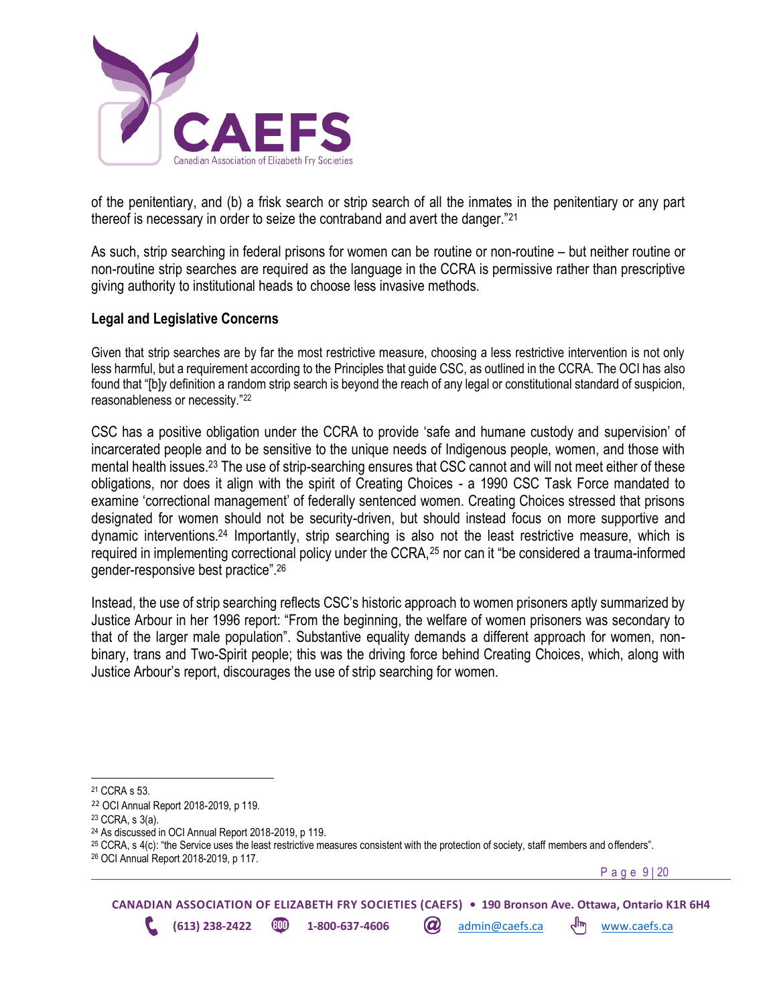

of the penitentiary, and (b) a frisk search or strip search of all the inmates in the penitentiary or any part thereof is necessary in order to seize the contraband and avert the danger."<sup>21</sup>

As such, strip searching in federal prisons for women can be routine or non-routine – but neither routine or non-routine strip searches are required as the language in the CCRA is permissive rather than prescriptive giving authority to institutional heads to choose less invasive methods.

### <span id="page-8-0"></span>**Legal and Legislative Concerns**

Given that strip searches are by far the most restrictive measure, choosing a less restrictive intervention is not only less harmful, but a requirement according to the Principles that guide CSC, as outlined in the CCRA. The OCI has also found that "[b]y definition a random strip search is beyond the reach of any legal or constitutional standard of suspicion, reasonableness or necessity."<sup>22</sup>

CSC has a positive obligation under the CCRA to provide 'safe and humane custody and supervision' of incarcerated people and to be sensitive to the unique needs of Indigenous people, women, and those with mental health issues.<sup>23</sup> The use of strip-searching ensures that CSC cannot and will not meet either of these obligations, nor does it align with the spirit of Creating Choices - a 1990 CSC Task Force mandated to examine 'correctional management' of federally sentenced women. Creating Choices stressed that prisons designated for women should not be security-driven, but should instead focus on more supportive and dynamic interventions.<sup>24</sup> Importantly, strip searching is also not the least restrictive measure, which is required in implementing correctional policy under the CCRA, <sup>25</sup> nor can it "be considered a trauma-informed gender-responsive best practice".<sup>26</sup>

Instead, the use of strip searching reflects CSC's historic approach to women prisoners aptly summarized by Justice Arbour in her 1996 report: "From the beginning, the welfare of women prisoners was secondary to that of the larger male population". Substantive equality demands a different approach for women, nonbinary, trans and Two-Spirit people; this was the driving force behind Creating Choices, which, along with Justice Arbour's report, discourages the use of strip searching for women.

P a g e 9 | 20

**CANADIAN ASSOCIATION OF ELIZABETH FRY SOCIETIES (CAEFS) • 190 Bronson Ave. Ottawa, Ontario K1R 6H4 (613) 238-2422 1-800-637-4606** *a***)** admin@caefs.ca  $\frac{1}{m}$  [www.caefs.ca](http://www.caefs.ca/)

<sup>21</sup> CCRA s 53.

<sup>22</sup> OCI Annual Report 2018-2019, p 119.

<sup>23</sup> CCRA, s 3(a).

<sup>24</sup> As discussed in OCI Annual Report 2018-2019, p 119.

<sup>25</sup> CCRA, s 4(c): "the Service uses the least restrictive measures consistent with the protection of society, staff members and offenders".

<sup>26</sup> OCI Annual Report 2018-2019, p 117.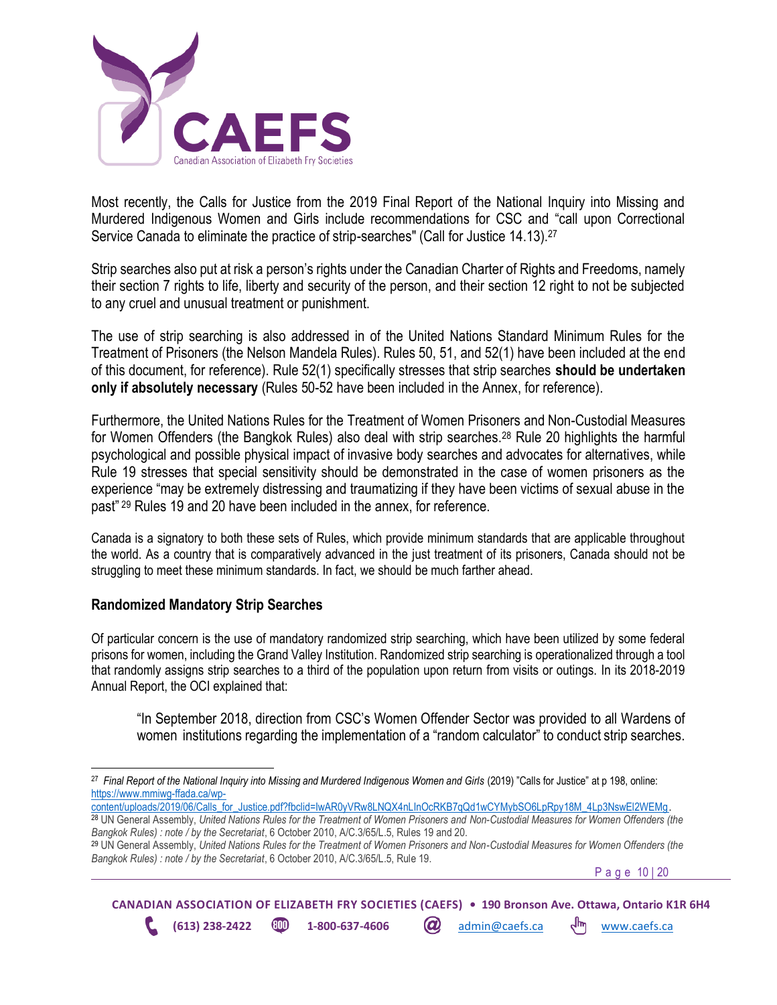

Most recently, the Calls for Justice from the 2019 Final Report of the National Inquiry into Missing and Murdered Indigenous Women and Girls include recommendations for CSC and "call upon Correctional Service Canada to eliminate the practice of strip-searches" (Call for Justice 14.13).<sup>27</sup>

Strip searches also put at risk a person's rights under the Canadian Charter of Rights and Freedoms, namely their section 7 rights to life, liberty and security of the person, and their section 12 right to not be subjected to any cruel and unusual treatment or punishment.

The use of strip searching is also addressed in of the United Nations Standard Minimum Rules for the Treatment of Prisoners (the Nelson Mandela Rules). Rules 50, 51, and 52(1) have been included at the end of this document, for reference). Rule 52(1) specifically stresses that strip searches **should be undertaken only if absolutely necessary** (Rules 50-52 have been included in the Annex, for reference).

Furthermore, the United Nations Rules for the Treatment of Women Prisoners and Non-Custodial Measures for Women Offenders (the Bangkok Rules) also deal with strip searches.<sup>28</sup> Rule 20 highlights the harmful psychological and possible physical impact of invasive body searches and advocates for alternatives, while Rule 19 stresses that special sensitivity should be demonstrated in the case of women prisoners as the experience "may be extremely distressing and traumatizing if they have been victims of sexual abuse in the past" <sup>29</sup> Rules 19 and 20 have been included in the annex, for reference.

Canada is a signatory to both these sets of Rules, which provide minimum standards that are applicable throughout the world. As a country that is comparatively advanced in the just treatment of its prisoners, Canada should not be struggling to meet these minimum standards. In fact, we should be much farther ahead.

### <span id="page-9-0"></span>**Randomized Mandatory Strip Searches**

Of particular concern is the use of mandatory randomized strip searching, which have been utilized by some federal prisons for women, including the Grand Valley Institution. Randomized strip searching is operationalized through a tool that randomly assigns strip searches to a third of the population upon return from visits or outings. In its 2018-2019 Annual Report, the OCI explained that:

"In September 2018, direction from CSC's Women Offender Sector was provided to all Wardens of women institutions regarding the implementation of a "random calculator" to conduct strip searches.

[content/uploads/2019/06/Calls\\_for\\_Justice.pdf?fbclid=IwAR0yVRw8LNQX4nLInOcRKB7qQd1wCYMybSO6LpRpy18M\\_4Lp3NswEl2WEMg.](https://www.mmiwg-ffada.ca/wp-content/uploads/2019/06/Calls_for_Justice.pdf?fbclid=IwAR0yVRw8LNQX4nLInOcRKB7qQd1wCYMybSO6LpRpy18M_4Lp3NswEl2WEMg)

P a g e 10 | 20



<sup>&</sup>lt;sup>27</sup> Final Report of the National Inquiry into Missing and Murdered Indigenous Women and Girls (2019) "Calls for Justice" at p 198, online: [https://www.mmiwg-ffada.ca/wp-](https://www.mmiwg-ffada.ca/wp-content/uploads/2019/06/Calls_for_Justice.pdf?fbclid=IwAR0yVRw8LNQX4nLInOcRKB7qQd1wCYMybSO6LpRpy18M_4Lp3NswEl2WEMg)

<sup>28</sup> UN General Assembly, *United Nations Rules for the Treatment of Women Prisoners and Non-Custodial Measures for Women Offenders (the Bangkok Rules) : note / by the Secretariat*, 6 October 2010, A/C.3/65/L.5, Rules 19 and 20.

<sup>29</sup> UN General Assembly, *United Nations Rules for the Treatment of Women Prisoners and Non-Custodial Measures for Women Offenders (the Bangkok Rules) : note / by the Secretariat*, 6 October 2010, A/C.3/65/L.5, Rule 19.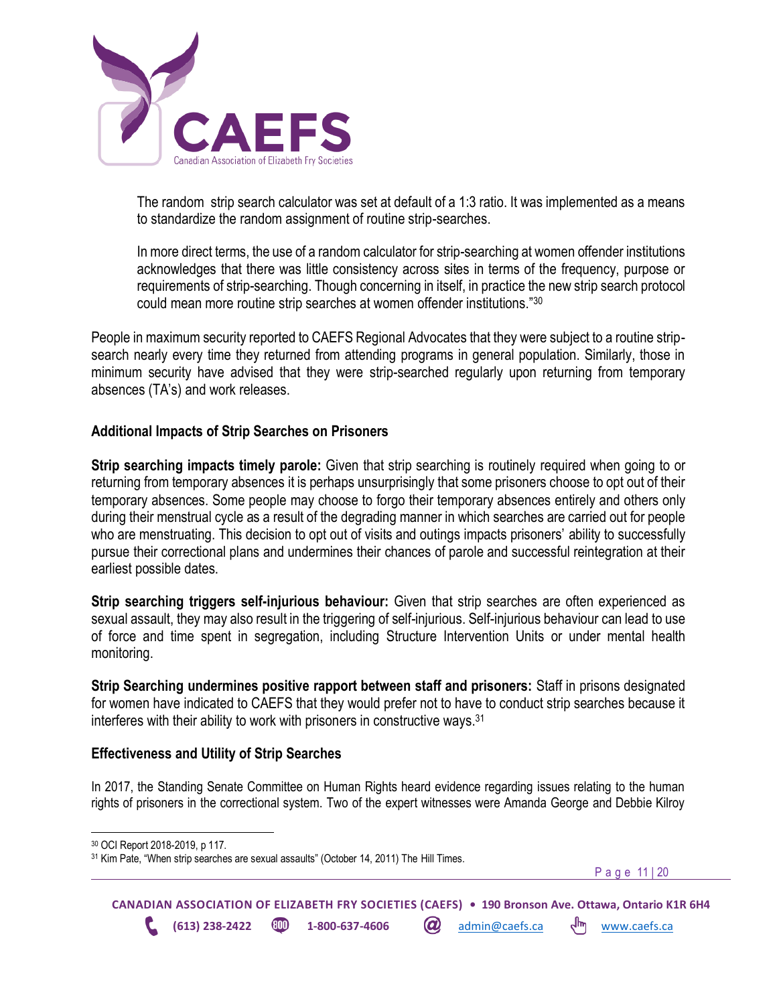

The random strip search calculator was set at default of a 1:3 ratio. It was implemented as a means to standardize the random assignment of routine strip-searches.

In more direct terms, the use of a random calculator for strip-searching at women offender institutions acknowledges that there was little consistency across sites in terms of the frequency, purpose or requirements of strip-searching. Though concerning in itself, in practice the new strip search protocol could mean more routine strip searches at women offender institutions."<sup>30</sup>

People in maximum security reported to CAEFS Regional Advocates that they were subject to a routine stripsearch nearly every time they returned from attending programs in general population. Similarly, those in minimum security have advised that they were strip-searched regularly upon returning from temporary absences (TA's) and work releases.

### <span id="page-10-0"></span>**Additional Impacts of Strip Searches on Prisoners**

**Strip searching impacts timely parole:** Given that strip searching is routinely required when going to or returning from temporary absences it is perhaps unsurprisingly that some prisoners choose to opt out of their temporary absences. Some people may choose to forgo their temporary absences entirely and others only during their menstrual cycle as a result of the degrading manner in which searches are carried out for people who are menstruating. This decision to opt out of visits and outings impacts prisoners' ability to successfully pursue their correctional plans and undermines their chances of parole and successful reintegration at their earliest possible dates.

**Strip searching triggers self-injurious behaviour:** Given that strip searches are often experienced as sexual assault, they may also result in the triggering of self-injurious. Self-injurious behaviour can lead to use of force and time spent in segregation, including Structure Intervention Units or under mental health monitoring.

**Strip Searching undermines positive rapport between staff and prisoners:** Staff in prisons designated for women have indicated to CAEFS that they would prefer not to have to conduct strip searches because it interferes with their ability to work with prisoners in constructive ways.<sup>31</sup>

### <span id="page-10-1"></span>**Effectiveness and Utility of Strip Searches**

In 2017, the Standing Senate Committee on Human Rights heard evidence regarding issues relating to the human rights of prisoners in the correctional system. Two of the expert witnesses were Amanda George and Debbie Kilroy

P a g e 11 | 20

<sup>30</sup> OCI Report 2018-2019, p 117.

<sup>&</sup>lt;sup>31</sup> Kim Pate, "When strip searches are sexual assaults" (October 14, 2011) The Hill Times.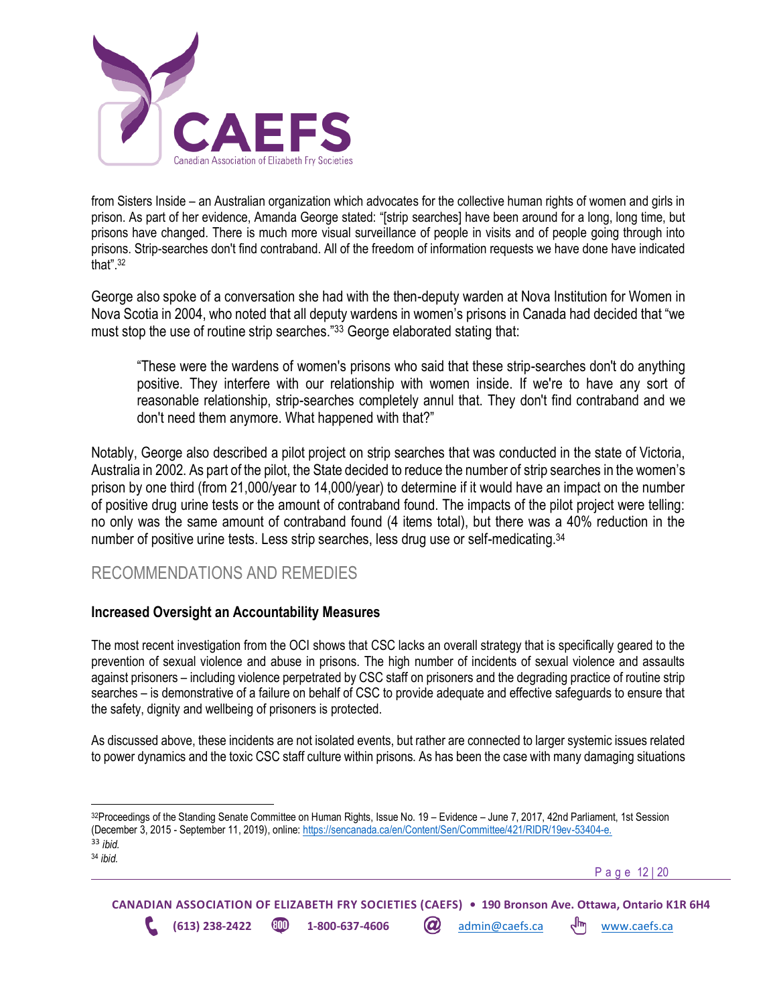

from Sisters Inside – an Australian organization which advocates for the collective human rights of women and girls in prison. As part of her evidence, Amanda George stated: "[strip searches] have been around for a long, long time, but prisons have changed. There is much more visual surveillance of people in visits and of people going through into prisons. Strip-searches don't find contraband. All of the freedom of information requests we have done have indicated that". 32

George also spoke of a conversation she had with the then-deputy warden at Nova Institution for Women in Nova Scotia in 2004, who noted that all deputy wardens in women's prisons in Canada had decided that "we must stop the use of routine strip searches."33 George elaborated stating that:

"These were the wardens of women's prisons who said that these strip-searches don't do anything positive. They interfere with our relationship with women inside. If we're to have any sort of reasonable relationship, strip-searches completely annul that. They don't find contraband and we don't need them anymore. What happened with that?"

Notably, George also described a pilot project on strip searches that was conducted in the state of Victoria, Australia in 2002. As part of the pilot, the State decided to reduce the number of strip searches in the women's prison by one third (from 21,000/year to 14,000/year) to determine if it would have an impact on the number of positive drug urine tests or the amount of contraband found. The impacts of the pilot project were telling: no only was the same amount of contraband found (4 items total), but there was a 40% reduction in the number of positive urine tests. Less strip searches, less drug use or self-medicating.<sup>34</sup>

## <span id="page-11-0"></span>RECOMMENDATIONS AND REMEDIES

### <span id="page-11-1"></span>**Increased Oversight an Accountability Measures**

The most recent investigation from the OCI shows that CSC lacks an overall strategy that is specifically geared to the prevention of sexual violence and abuse in prisons. The high number of incidents of sexual violence and assaults against prisoners – including violence perpetrated by CSC staff on prisoners and the degrading practice of routine strip searches – is demonstrative of a failure on behalf of CSC to provide adequate and effective safeguards to ensure that the safety, dignity and wellbeing of prisoners is protected.

As discussed above, these incidents are not isolated events, but rather are connected to larger systemic issues related to power dynamics and the toxic CSC staff culture within prisons. As has been the case with many damaging situations

P a g e 12 | 20

<sup>32</sup>Proceedings of the Standing Senate Committee on Human Rights, Issue No. 19 – Evidence – June 7, 2017, 42nd Parliament, 1st Session (December 3, 2015 - September 11, 2019), online: [https://sencanada.ca/en/Content/Sen/Committee/421/RIDR/19ev-53404-e.](https://sencanada.ca/en/Content/Sen/Committee/421/RIDR/19ev-53404-e) <sup>33</sup> *ibid.*

<sup>34</sup> *ibid.*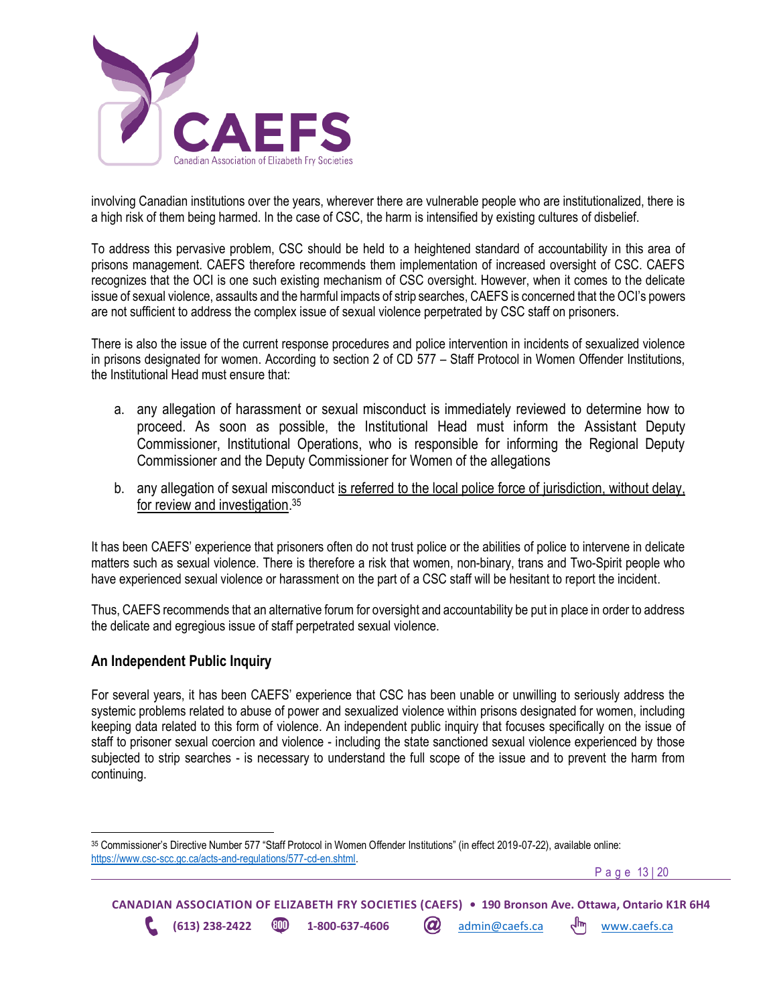

involving Canadian institutions over the years, wherever there are vulnerable people who are institutionalized, there is a high risk of them being harmed. In the case of CSC, the harm is intensified by existing cultures of disbelief.

To address this pervasive problem, CSC should be held to a heightened standard of accountability in this area of prisons management. CAEFS therefore recommends them implementation of increased oversight of CSC. CAEFS recognizes that the OCI is one such existing mechanism of CSC oversight. However, when it comes to the delicate issue of sexual violence, assaults and the harmful impacts of strip searches, CAEFS is concerned that the OCI's powers are not sufficient to address the complex issue of sexual violence perpetrated by CSC staff on prisoners.

There is also the issue of the current response procedures and police intervention in incidents of sexualized violence in prisons designated for women. According to section 2 of CD 577 – Staff Protocol in Women Offender Institutions, the Institutional Head must ensure that:

- a. any allegation of harassment or sexual misconduct is immediately reviewed to determine how to proceed. As soon as possible, the Institutional Head must inform the Assistant Deputy Commissioner, Institutional Operations, who is responsible for informing the Regional Deputy Commissioner and the Deputy Commissioner for Women of the allegations
- b. anv allegation of sexual misconduct is referred to the local police force of jurisdiction, without delay, for review and investigation. 35

It has been CAEFS' experience that prisoners often do not trust police or the abilities of police to intervene in delicate matters such as sexual violence. There is therefore a risk that women, non-binary, trans and Two-Spirit people who have experienced sexual violence or harassment on the part of a CSC staff will be hesitant to report the incident.

Thus, CAEFS recommends that an alternative forum for oversight and accountability be put in place in order to address the delicate and egregious issue of staff perpetrated sexual violence.

### <span id="page-12-0"></span>**An Independent Public Inquiry**

For several years, it has been CAEFS' experience that CSC has been unable or unwilling to seriously address the systemic problems related to abuse of power and sexualized violence within prisons designated for women, including keeping data related to this form of violence. An independent public inquiry that focuses specifically on the issue of staff to prisoner sexual coercion and violence - including the state sanctioned sexual violence experienced by those subjected to strip searches - is necessary to understand the full scope of the issue and to prevent the harm from continuing.

P a g e 13 | 20

<sup>35</sup> Commissioner's Directive Number 577 "Staff Protocol in Women Offender Institutions" (in effect 2019-07-22), available online: [https://www.csc-scc.gc.ca/acts-and-regulations/577-cd-en.shtml.](https://www.csc-scc.gc.ca/acts-and-regulations/577-cd-en.shtml)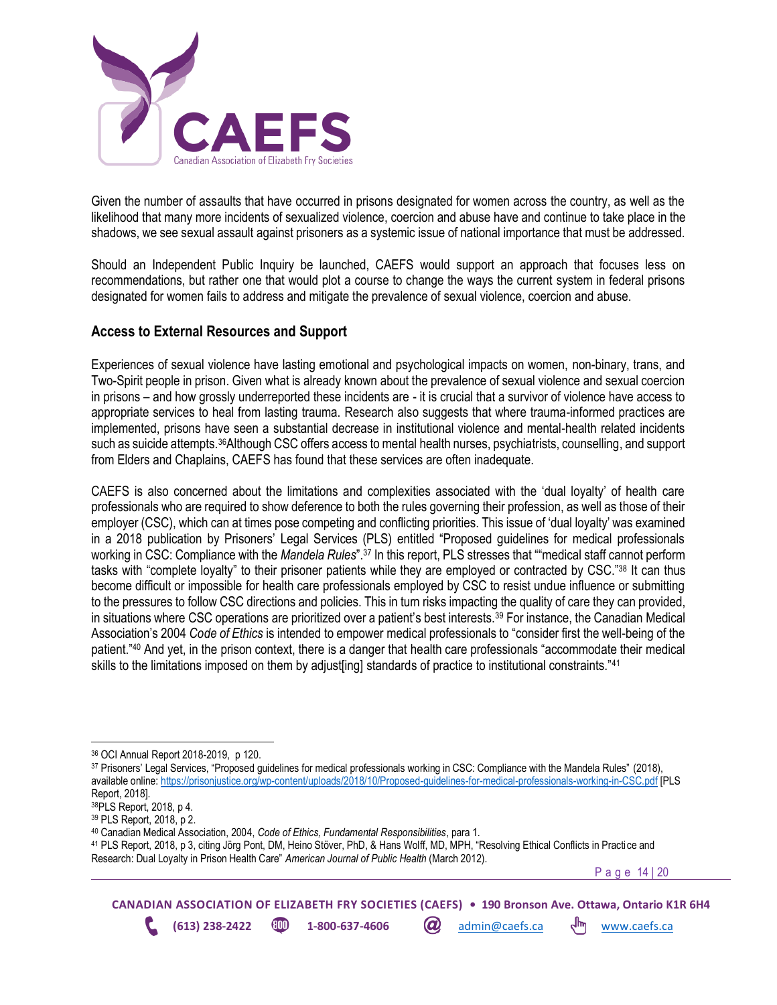

Given the number of assaults that have occurred in prisons designated for women across the country, as well as the likelihood that many more incidents of sexualized violence, coercion and abuse have and continue to take place in the shadows, we see sexual assault against prisoners as a systemic issue of national importance that must be addressed.

Should an Independent Public Inquiry be launched, CAEFS would support an approach that focuses less on recommendations, but rather one that would plot a course to change the ways the current system in federal prisons designated for women fails to address and mitigate the prevalence of sexual violence, coercion and abuse.

### <span id="page-13-0"></span>**Access to External Resources and Support**

Experiences of sexual violence have lasting emotional and psychological impacts on women, non-binary, trans, and Two-Spirit people in prison. Given what is already known about the prevalence of sexual violence and sexual coercion in prisons – and how grossly underreported these incidents are - it is crucial that a survivor of violence have access to appropriate services to heal from lasting trauma. Research also suggests that where trauma-informed practices are implemented, prisons have seen a substantial decrease in institutional violence and mental-health related incidents such as suicide attempts.<sup>36</sup>Although CSC offers access to mental health nurses, psychiatrists, counselling, and support from Elders and Chaplains, CAEFS has found that these services are often inadequate.

CAEFS is also concerned about the limitations and complexities associated with the 'dual loyalty' of health care professionals who are required to show deference to both the rules governing their profession, as well as those of their employer (CSC), which can at times pose competing and conflicting priorities. This issue of 'dual loyalty' was examined in a 2018 publication by Prisoners' Legal Services (PLS) entitled "Proposed guidelines for medical professionals working in CSC: Compliance with the *Mandela Rules*".<sup>37</sup> In this report, PLS stresses that ""medical staff cannot perform tasks with "complete loyalty" to their prisoner patients while they are employed or contracted by CSC."<sup>38</sup> It can thus become difficult or impossible for health care professionals employed by CSC to resist undue influence or submitting to the pressures to follow CSC directions and policies. This in turn risks impacting the quality of care they can provided, in situations where CSC operations are prioritized over a patient's best interests.<sup>39</sup> For instance, the Canadian Medical Association's 2004 *Code of Ethics* is intended to empower medical professionals to "consider first the well-being of the patient."<sup>40</sup> And yet, in the prison context, there is a danger that health care professionals "accommodate their medical skills to the limitations imposed on them by adjust [ing] standards of practice to institutional constraints."<sup>41</sup>

<sup>37</sup> Prisoners' Legal Services, "Proposed guidelines for medical professionals working in CSC: Compliance with the Mandela Rules" (2018), available online:<https://prisonjustice.org/wp-content/uploads/2018/10/Proposed-guidelines-for-medical-professionals-working-in-CSC.pdf> [PLS Report, 2018].

<sup>41</sup> PLS Report, 2018, p 3, citing Jörg Pont, DM, Heino Stöver, PhD, & Hans Wolff, MD, MPH, "Resolving Ethical Conflicts in Practi ce and Research: Dual Loyalty in Prison Health Care" *American Journal of Public Health* (March 2012).

P a g e 14 | 20

<sup>36</sup> OCI Annual Report 2018-2019, p 120.

<sup>38</sup>PLS Report, 2018, p 4.

<sup>39</sup> PLS Report, 2018, p 2.

<sup>40</sup> Canadian Medical Association, 2004, *Code of Ethics, Fundamental Responsibilities*, para 1.

**CANADIAN ASSOCIATION OF ELIZABETH FRY SOCIETIES (CAEFS) • 190 Bronson Ave. Ottawa, Ontario K1R 6H4 (613) 238-2422 1-800-637-4606** *a***)** admin@caefs.ca  $\frac{1}{m}$  [www.caefs.ca](http://www.caefs.ca/)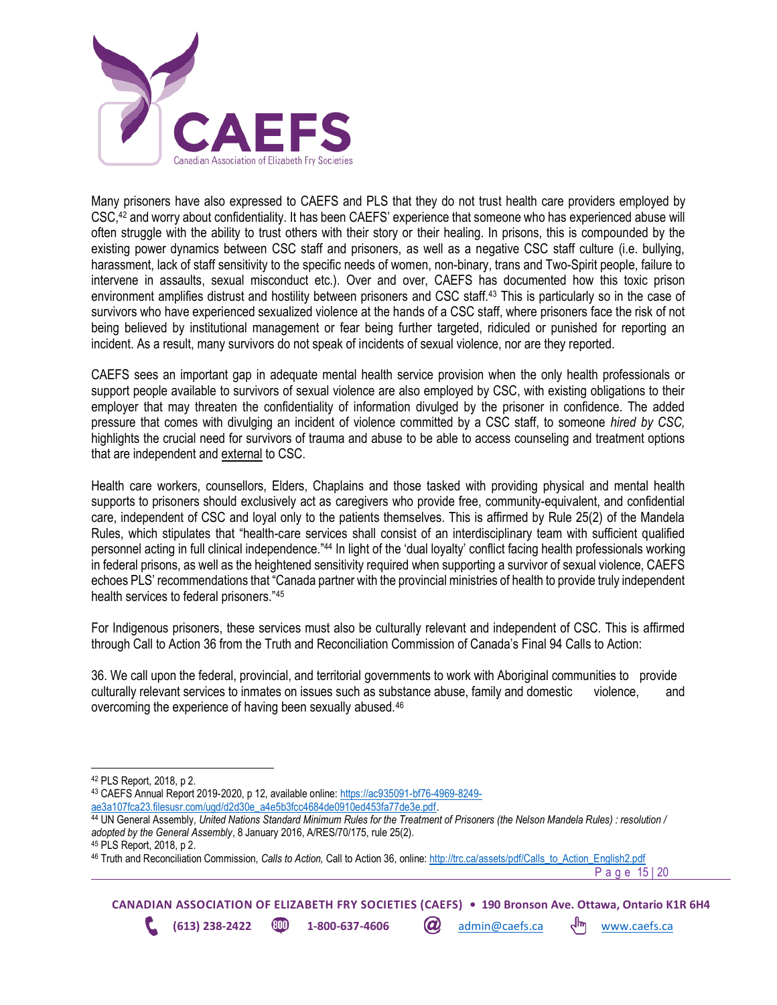

Many prisoners have also expressed to CAEFS and PLS that they do not trust health care providers employed by CSC,<sup>42</sup> and worry about confidentiality. It has been CAEFS' experience that someone who has experienced abuse will often struggle with the ability to trust others with their story or their healing. In prisons, this is compounded by the existing power dynamics between CSC staff and prisoners, as well as a negative CSC staff culture (i.e. bullying, harassment, lack of staff sensitivity to the specific needs of women, non-binary, trans and Two-Spirit people, failure to intervene in assaults, sexual misconduct etc.). Over and over, CAEFS has documented how this toxic prison environment amplifies distrust and hostility between prisoners and CSC staff.<sup>43</sup> This is particularly so in the case of survivors who have experienced sexualized violence at the hands of a CSC staff, where prisoners face the risk of not being believed by institutional management or fear being further targeted, ridiculed or punished for reporting an incident. As a result, many survivors do not speak of incidents of sexual violence, nor are they reported.

CAEFS sees an important gap in adequate mental health service provision when the only health professionals or support people available to survivors of sexual violence are also employed by CSC, with existing obligations to their employer that may threaten the confidentiality of information divulged by the prisoner in confidence. The added pressure that comes with divulging an incident of violence committed by a CSC staff, to someone *hired by CSC,*  highlights the crucial need for survivors of trauma and abuse to be able to access counseling and treatment options that are independent and external to CSC.

Health care workers, counsellors, Elders, Chaplains and those tasked with providing physical and mental health supports to prisoners should exclusively act as caregivers who provide free, community-equivalent, and confidential care, independent of CSC and loyal only to the patients themselves. This is affirmed by Rule 25(2) of the Mandela Rules, which stipulates that "health-care services shall consist of an interdisciplinary team with sufficient qualified personnel acting in full clinical independence."<sup>44</sup> In light of the 'dual loyalty' conflict facing health professionals working in federal prisons, as well as the heightened sensitivity required when supporting a survivor of sexual violence, CAEFS echoes PLS' recommendations that "Canada partner with the provincial ministries of health to provide truly independent health services to federal prisoners."<sup>45</sup>

For Indigenous prisoners, these services must also be culturally relevant and independent of CSC. This is affirmed through Call to Action 36 from the Truth and Reconciliation Commission of Canada's Final 94 Calls to Action:

36. We call upon the federal, provincial, and territorial governments to work with Aboriginal communities to provide culturally relevant services to inmates on issues such as substance abuse, family and domestic violence, and overcoming the experience of having been sexually abused.<sup>46</sup>

<sup>46</sup> Truth and Reconciliation Commission, *Calls to Action,* Call to Action 36, online: [http://trc.ca/assets/pdf/Calls\\_to\\_Action\\_English2.pdf](http://trc.ca/assets/pdf/Calls_to_Action_English2.pdf)

P a g e 15 | 20

<sup>42</sup> PLS Report, 2018, p 2.

<sup>43</sup> CAEFS Annual Report 2019-2020, p 12, available online: [https://ac935091-bf76-4969-8249](https://ac935091-bf76-4969-8249-ae3a107fca23.filesusr.com/ugd/d2d30e_a4e5b3fcc4684de0910ed453fa77de3e.pdf) [ae3a107fca23.filesusr.com/ugd/d2d30e\\_a4e5b3fcc4684de0910ed453fa77de3e.pdf.](https://ac935091-bf76-4969-8249-ae3a107fca23.filesusr.com/ugd/d2d30e_a4e5b3fcc4684de0910ed453fa77de3e.pdf)

<sup>44</sup> UN General Assembly, *United Nations Standard Minimum Rules for the Treatment of Prisoners (the Nelson Mandela Rules) : resolution / adopted by the General Assembly*, 8 January 2016, A/RES/70/175, rule 25(2).

<sup>45</sup> PLS Report, 2018, p 2.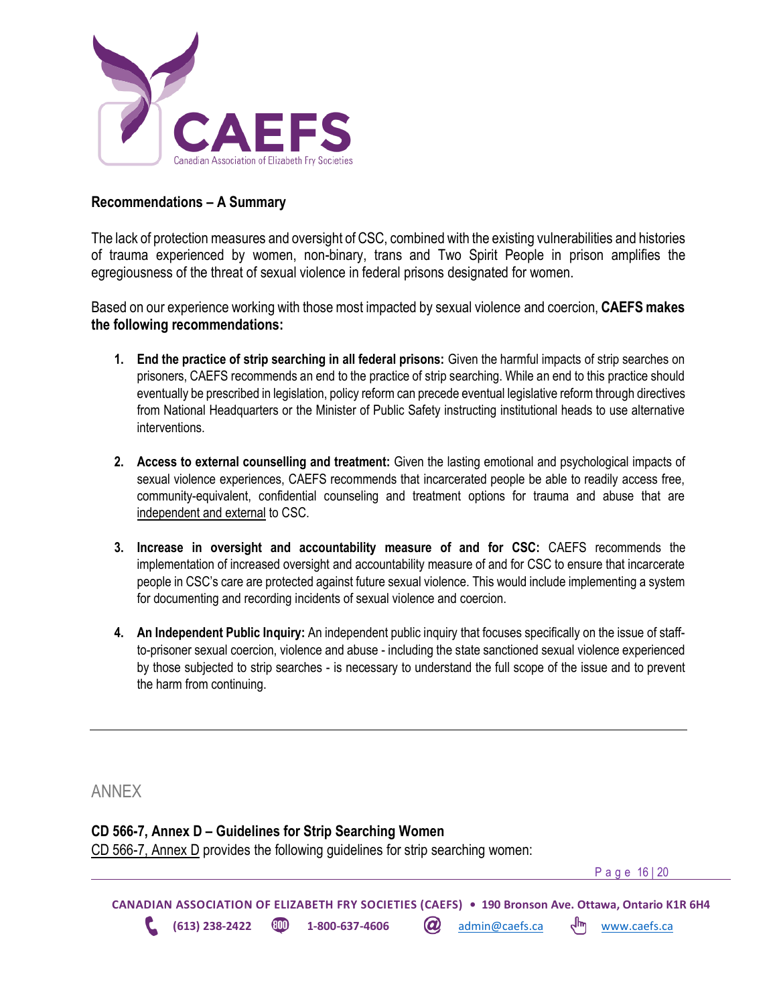

### <span id="page-15-0"></span>**Recommendations – A Summary**

The lack of protection measures and oversight of CSC, combined with the existing vulnerabilities and histories of trauma experienced by women, non-binary, trans and Two Spirit People in prison amplifies the egregiousness of the threat of sexual violence in federal prisons designated for women.

Based on our experience working with those most impacted by sexual violence and coercion, **CAEFS makes the following recommendations:** 

- **1. End the practice of strip searching in all federal prisons:** Given the harmful impacts of strip searches on prisoners, CAEFS recommends an end to the practice of strip searching. While an end to this practice should eventually be prescribed in legislation, policy reform can precede eventual legislative reform through directives from National Headquarters or the Minister of Public Safety instructing institutional heads to use alternative interventions.
- **2. Access to external counselling and treatment:** Given the lasting emotional and psychological impacts of sexual violence experiences, CAEFS recommends that incarcerated people be able to readily access free, community-equivalent, confidential counseling and treatment options for trauma and abuse that are independent and external to CSC.
- **3. Increase in oversight and accountability measure of and for CSC:** CAEFS recommends the implementation of increased oversight and accountability measure of and for CSC to ensure that incarcerate people in CSC's care are protected against future sexual violence. This would include implementing a system for documenting and recording incidents of sexual violence and coercion.
- **4. An Independent Public Inquiry:** An independent public inquiry that focuses specifically on the issue of staffto-prisoner sexual coercion, violence and abuse - including the state sanctioned sexual violence experienced by those subjected to strip searches - is necessary to understand the full scope of the issue and to prevent the harm from continuing.

<span id="page-15-1"></span>ANNEX

### <span id="page-15-2"></span>**CD 566-7, Annex D – Guidelines for Strip Searching Women**

CD 566-7, Annex D provides the following guidelines for strip searching women:

P a g e 16 | 20

**CANADIAN ASSOCIATION OF ELIZABETH FRY SOCIETIES (CAEFS) • 190 Bronson Ave. Ottawa, Ontario K1R 6H4 (613) 238-2422 1-800-637-4606** admin@caefs.ca [www.caefs.ca](http://www.caefs.ca/)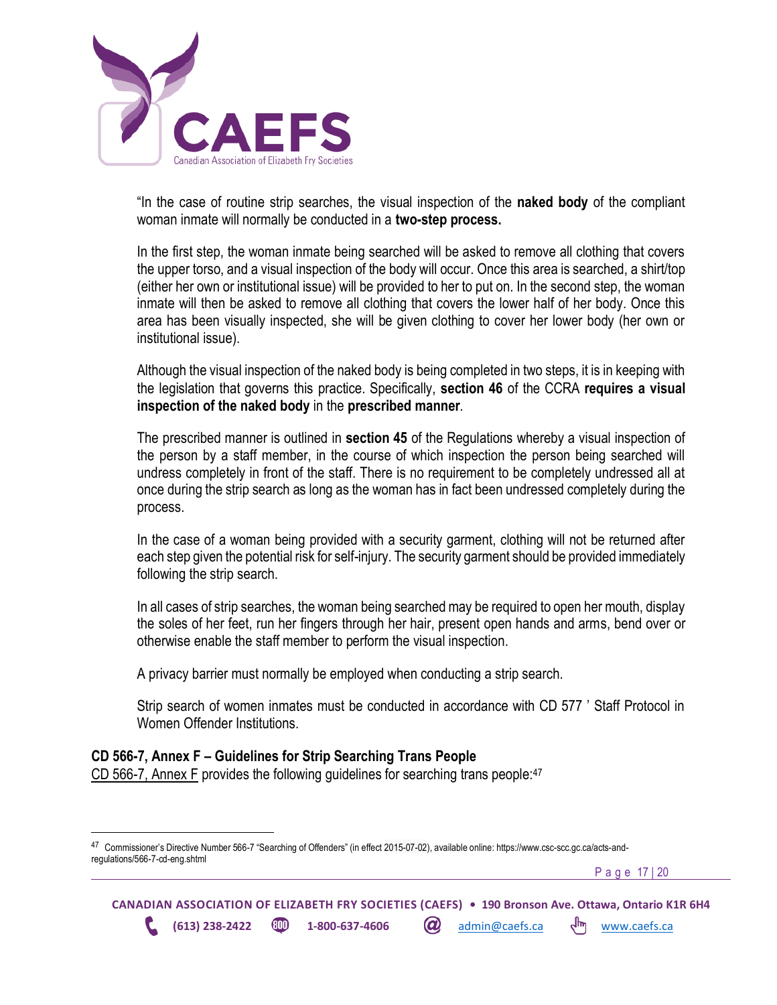

"In the case of routine strip searches, the visual inspection of the **naked body** of the compliant woman inmate will normally be conducted in a **two-step process.**

In the first step, the woman inmate being searched will be asked to remove all clothing that covers the upper torso, and a visual inspection of the body will occur. Once this area is searched, a shirt/top (either her own or institutional issue) will be provided to her to put on. In the second step, the woman inmate will then be asked to remove all clothing that covers the lower half of her body. Once this area has been visually inspected, she will be given clothing to cover her lower body (her own or institutional issue).

Although the visual inspection of the naked body is being completed in two steps, it is in keeping with the legislation that governs this practice. Specifically, **section 46** of the CCRA **requires a visual inspection of the naked body** in the **prescribed manner**.

The prescribed manner is outlined in **section 45** of the Regulations whereby a visual inspection of the person by a staff member, in the course of which inspection the person being searched will undress completely in front of the staff. There is no requirement to be completely undressed all at once during the strip search as long as the woman has in fact been undressed completely during the process.

In the case of a woman being provided with a security garment, clothing will not be returned after each step given the potential risk for self-injury. The security garment should be provided immediately following the strip search.

In all cases of strip searches, the woman being searched may be required to open her mouth, display the soles of her feet, run her fingers through her hair, present open hands and arms, bend over or otherwise enable the staff member to perform the visual inspection.

A privacy barrier must normally be employed when conducting a strip search.

Strip search of women inmates must be conducted in accordance with CD 577 ' Staff Protocol in Women Offender Institutions.

### <span id="page-16-0"></span>**CD 566-7, Annex F – Guidelines for Strip Searching Trans People**

CD 566-7, Annex F provides the following guidelines for searching trans people:<sup>47</sup>

P a g e 17 | 20

**CANADIAN ASSOCIATION OF ELIZABETH FRY SOCIETIES (CAEFS) • 190 Bronson Ave. Ottawa, Ontario K1R 6H4 (613) 238-2422 1-800-637-4606** admin@caefs.ca [www.caefs.ca](http://www.caefs.ca/)

<sup>&</sup>lt;sup>47</sup> Commissioner's Directive Number 566-7 "Searching of Offenders" (in effect 2015-07-02), available online: https://www.csc-scc.gc.ca/acts-andregulations/566-7-cd-eng.shtml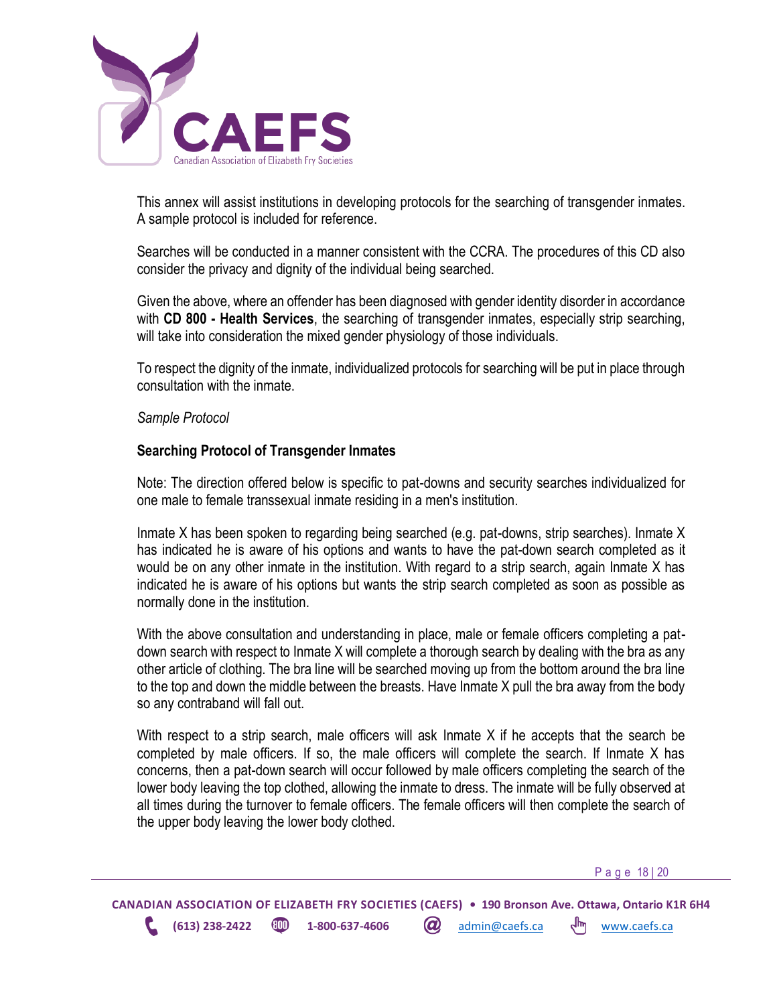

This annex will assist institutions in developing protocols for the searching of transgender inmates. A sample protocol is included for reference.

Searches will be conducted in a manner consistent with the CCRA. The procedures of this CD also consider the privacy and dignity of the individual being searched.

Given the above, where an offender has been diagnosed with gender identity disorder in accordance with **CD 800 - Health Services**, the searching of transgender inmates, especially strip searching, will take into consideration the mixed gender physiology of those individuals.

To respect the dignity of the inmate, individualized protocols for searching will be put in place through consultation with the inmate.

*Sample Protocol*

### **Searching Protocol of Transgender Inmates**

Note: The direction offered below is specific to pat-downs and security searches individualized for one male to female transsexual inmate residing in a men's institution.

Inmate X has been spoken to regarding being searched (e.g. pat-downs, strip searches). Inmate X has indicated he is aware of his options and wants to have the pat-down search completed as it would be on any other inmate in the institution. With regard to a strip search, again Inmate X has indicated he is aware of his options but wants the strip search completed as soon as possible as normally done in the institution.

With the above consultation and understanding in place, male or female officers completing a patdown search with respect to Inmate X will complete a thorough search by dealing with the bra as any other article of clothing. The bra line will be searched moving up from the bottom around the bra line to the top and down the middle between the breasts. Have Inmate X pull the bra away from the body so any contraband will fall out.

With respect to a strip search, male officers will ask Inmate X if he accepts that the search be completed by male officers. If so, the male officers will complete the search. If Inmate X has concerns, then a pat-down search will occur followed by male officers completing the search of the lower body leaving the top clothed, allowing the inmate to dress. The inmate will be fully observed at all times during the turnover to female officers. The female officers will then complete the search of the upper body leaving the lower body clothed.

P a g e 18 | 20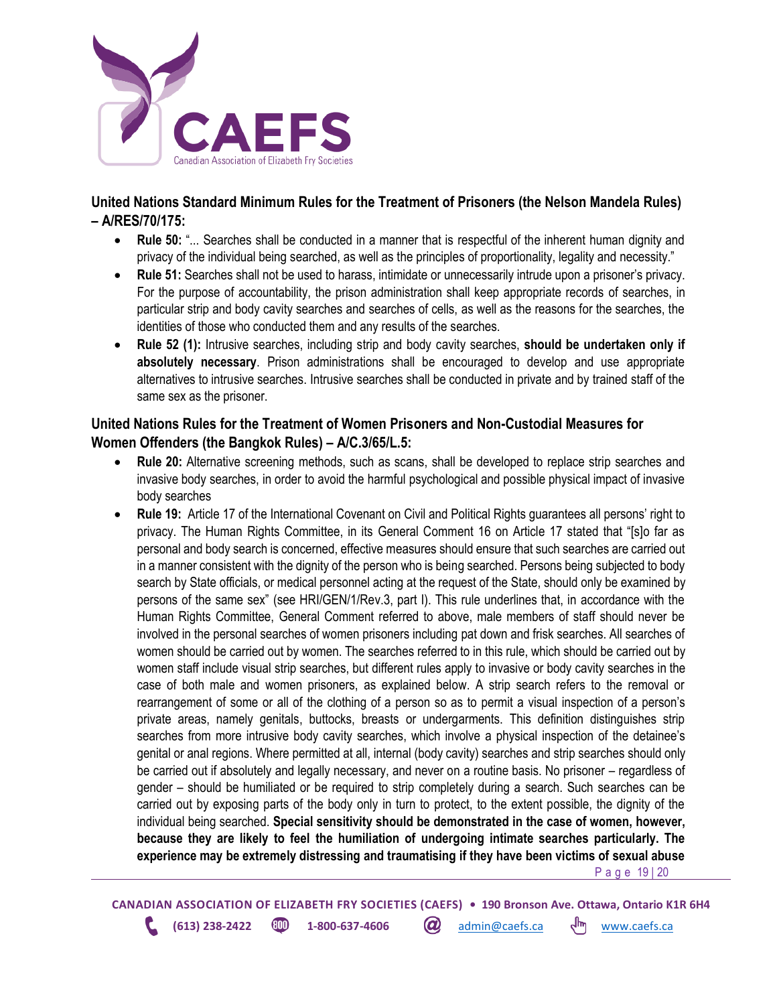

### <span id="page-18-0"></span>**United Nations Standard Minimum Rules for the Treatment of Prisoners (the Nelson Mandela Rules) – A/RES/70/175:**

- **Rule 50:** "... Searches shall be conducted in a manner that is respectful of the inherent human dignity and privacy of the individual being searched, as well as the principles of proportionality, legality and necessity."
- **Rule 51:** Searches shall not be used to harass, intimidate or unnecessarily intrude upon a prisoner's privacy. For the purpose of accountability, the prison administration shall keep appropriate records of searches, in particular strip and body cavity searches and searches of cells, as well as the reasons for the searches, the identities of those who conducted them and any results of the searches.
- **Rule 52 (1):** Intrusive searches, including strip and body cavity searches, **should be undertaken only if absolutely necessary**. Prison administrations shall be encouraged to develop and use appropriate alternatives to intrusive searches. Intrusive searches shall be conducted in private and by trained staff of the same sex as the prisoner.

### <span id="page-18-1"></span>**United Nations Rules for the Treatment of Women Prisoners and Non-Custodial Measures for Women Offenders (the Bangkok Rules) – A/C.3/65/L.5:**

- **Rule 20:** Alternative screening methods, such as scans, shall be developed to replace strip searches and invasive body searches, in order to avoid the harmful psychological and possible physical impact of invasive body searches
- P a g e 19 | 20 • **Rule 19:** Article 17 of the International Covenant on Civil and Political Rights guarantees all persons' right to privacy. The Human Rights Committee, in its General Comment 16 on Article 17 stated that "[s]o far as personal and body search is concerned, effective measures should ensure that such searches are carried out in a manner consistent with the dignity of the person who is being searched. Persons being subjected to body search by State officials, or medical personnel acting at the request of the State, should only be examined by persons of the same sex" (see HRI/GEN/1/Rev.3, part I). This rule underlines that, in accordance with the Human Rights Committee, General Comment referred to above, male members of staff should never be involved in the personal searches of women prisoners including pat down and frisk searches. All searches of women should be carried out by women. The searches referred to in this rule, which should be carried out by women staff include visual strip searches, but different rules apply to invasive or body cavity searches in the case of both male and women prisoners, as explained below. A strip search refers to the removal or rearrangement of some or all of the clothing of a person so as to permit a visual inspection of a person's private areas, namely genitals, buttocks, breasts or undergarments. This definition distinguishes strip searches from more intrusive body cavity searches, which involve a physical inspection of the detainee's genital or anal regions. Where permitted at all, internal (body cavity) searches and strip searches should only be carried out if absolutely and legally necessary, and never on a routine basis. No prisoner – regardless of gender – should be humiliated or be required to strip completely during a search. Such searches can be carried out by exposing parts of the body only in turn to protect, to the extent possible, the dignity of the individual being searched. **Special sensitivity should be demonstrated in the case of women, however, because they are likely to feel the humiliation of undergoing intimate searches particularly. The experience may be extremely distressing and traumatising if they have been victims of sexual abuse**